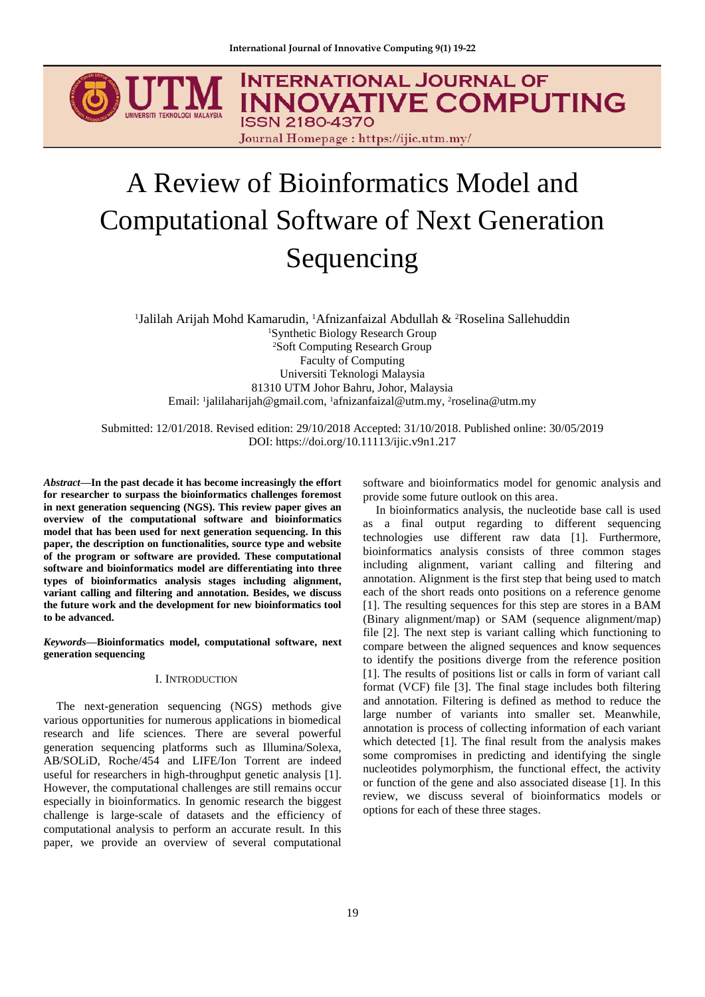

# A Review of Bioinformatics Model and Computational Software of Next Generation Sequencing

<sup>1</sup>Jalilah Arijah Mohd Kamarudin, <sup>1</sup>Afnizanfaizal Abdullah & <sup>2</sup>Roselina Sallehuddin <sup>1</sup>Synthetic Biology Research Group <sup>2</sup>Soft Computing Research Group Faculty of Computing Universiti Teknologi Malaysia 81310 UTM Johor Bahru, Johor, Malaysia Email: 'jalilaharijah@gmail.com, 'afnizanfaizal@utm.my, <sup>2</sup>roselina@utm.my

Submitted: 12/01/2018. Revised edition: 29/10/2018 Accepted: 31/10/2018. Published online: 30/05/2019 DOI: https://doi.org/10.11113/ijic.v9n1.217

*Abstract***—In the past decade it has become increasingly the effort for researcher to surpass the bioinformatics challenges foremost in next generation sequencing (NGS). This review paper gives an overview of the computational software and bioinformatics model that has been used for next generation sequencing. In this paper, the description on functionalities, source type and website of the program or software are provided. These computational software and bioinformatics model are differentiating into three types of bioinformatics analysis stages including alignment, variant calling and filtering and annotation. Besides, we discuss the future work and the development for new bioinformatics tool to be advanced.**

*Keywords***—Bioinformatics model, computational software, next generation sequencing**

## I. INTRODUCTION

The next-generation sequencing (NGS) methods give various opportunities for numerous applications in biomedical research and life sciences. There are several powerful generation sequencing platforms such as Illumina/Solexa, AB/SOLiD, Roche/454 and LIFE/Ion Torrent are indeed useful for researchers in high-throughput genetic analysis [1]. However, the computational challenges are still remains occur especially in bioinformatics. In genomic research the biggest challenge is large-scale of datasets and the efficiency of computational analysis to perform an accurate result. In this paper, we provide an overview of several computational software and bioinformatics model for genomic analysis and provide some future outlook on this area.

In bioinformatics analysis, the nucleotide base call is used as a final output regarding to different sequencing technologies use different raw data [1]. Furthermore, bioinformatics analysis consists of three common stages including alignment, variant calling and filtering and annotation. Alignment is the first step that being used to match each of the short reads onto positions on a reference genome [1]. The resulting sequences for this step are stores in a BAM (Binary alignment/map) or SAM (sequence alignment/map) file [2]. The next step is variant calling which functioning to compare between the aligned sequences and know sequences to identify the positions diverge from the reference position [1]. The results of positions list or calls in form of variant call format (VCF) file [3]. The final stage includes both filtering and annotation. Filtering is defined as method to reduce the large number of variants into smaller set. Meanwhile, annotation is process of collecting information of each variant which detected [1]. The final result from the analysis makes some compromises in predicting and identifying the single nucleotides polymorphism, the functional effect, the activity or function of the gene and also associated disease [1]. In this review, we discuss several of bioinformatics models or options for each of these three stages.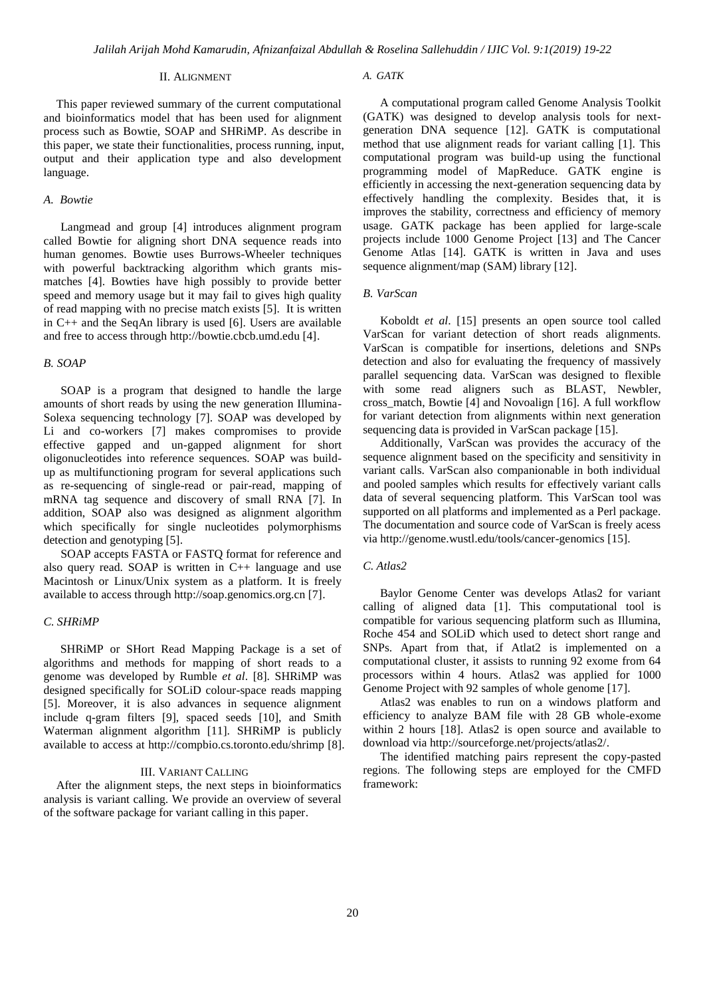#### II. ALIGNMENT

This paper reviewed summary of the current computational and bioinformatics model that has been used for alignment process such as Bowtie, SOAP and SHRiMP. As describe in this paper, we state their functionalities, process running, input, output and their application type and also development language.

## *A. Bowtie*

Langmead and group [4] introduces alignment program called Bowtie for aligning short DNA sequence reads into human genomes. Bowtie uses Burrows-Wheeler techniques with powerful backtracking algorithm which grants mismatches [4]. Bowties have high possibly to provide better speed and memory usage but it may fail to gives high quality of read mapping with no precise match exists [5]. It is written in C++ and the SeqAn library is used [6]. Users are available and free to access through http://bowtie.cbcb.umd.edu [4].

#### *B. SOAP*

SOAP is a program that designed to handle the large amounts of short reads by using the new generation Illumina-Solexa sequencing technology [7]. SOAP was developed by Li and co-workers [7] makes compromises to provide effective gapped and un-gapped alignment for short oligonucleotides into reference sequences. SOAP was buildup as multifunctioning program for several applications such as re-sequencing of single-read or pair-read, mapping of mRNA tag sequence and discovery of small RNA [7]. In addition, SOAP also was designed as alignment algorithm which specifically for single nucleotides polymorphisms detection and genotyping [5].

SOAP accepts FASTA or FASTO format for reference and also query read. SOAP is written in C++ language and use Macintosh or Linux/Unix system as a platform. It is freely available to access through http://soap.genomics.org.cn [7].

## *C. SHRiMP*

SHRiMP or SHort Read Mapping Package is a set of algorithms and methods for mapping of short reads to a genome was developed by Rumble *et al*. [8]. SHRiMP was designed specifically for SOLiD colour-space reads mapping [5]. Moreover, it is also advances in sequence alignment include q-gram filters [9], spaced seeds [10], and Smith Waterman alignment algorithm [11]. SHRiMP is publicly available to access at http://compbio.cs.toronto.edu/shrimp [8].

## III. VARIANT CALLING

After the alignment steps, the next steps in bioinformatics analysis is variant calling. We provide an overview of several of the software package for variant calling in this paper.

#### *A. GATK*

A computational program called Genome Analysis Toolkit (GATK) was designed to develop analysis tools for nextgeneration DNA sequence [12]. GATK is computational method that use alignment reads for variant calling [1]. This computational program was build-up using the functional programming model of MapReduce. GATK engine is efficiently in accessing the next-generation sequencing data by effectively handling the complexity. Besides that, it is improves the stability, correctness and efficiency of memory usage. GATK package has been applied for large-scale projects include 1000 Genome Project [13] and The Cancer Genome Atlas [14]. GATK is written in Java and uses sequence alignment/map (SAM) library [12].

## *B. VarScan*

Koboldt *et al*. [15] presents an open source tool called VarScan for variant detection of short reads alignments. VarScan is compatible for insertions, deletions and SNPs detection and also for evaluating the frequency of massively parallel sequencing data. VarScan was designed to flexible with some read aligners such as BLAST, Newbler, cross\_match, Bowtie [4] and Novoalign [16]. A full workflow for variant detection from alignments within next generation sequencing data is provided in VarScan package [15].

Additionally, VarScan was provides the accuracy of the sequence alignment based on the specificity and sensitivity in variant calls. VarScan also companionable in both individual and pooled samples which results for effectively variant calls data of several sequencing platform. This VarScan tool was supported on all platforms and implemented as a Perl package. The documentation and source code of VarScan is freely acess via http://genome.wustl.edu/tools/cancer-genomics [15].

## *C. Atlas2*

Baylor Genome Center was develops Atlas2 for variant calling of aligned data [1]. This computational tool is compatible for various sequencing platform such as Illumina, Roche 454 and SOLiD which used to detect short range and SNPs. Apart from that, if Atlat2 is implemented on a computational cluster, it assists to running 92 exome from 64 processors within 4 hours. Atlas2 was applied for 1000 Genome Project with 92 samples of whole genome [17].

Atlas2 was enables to run on a windows platform and efficiency to analyze BAM file with 28 GB whole-exome within 2 hours [18]. Atlas2 is open source and available to download via http://sourceforge.net/projects/atlas2/.

The identified matching pairs represent the copy-pasted regions. The following steps are employed for the CMFD framework: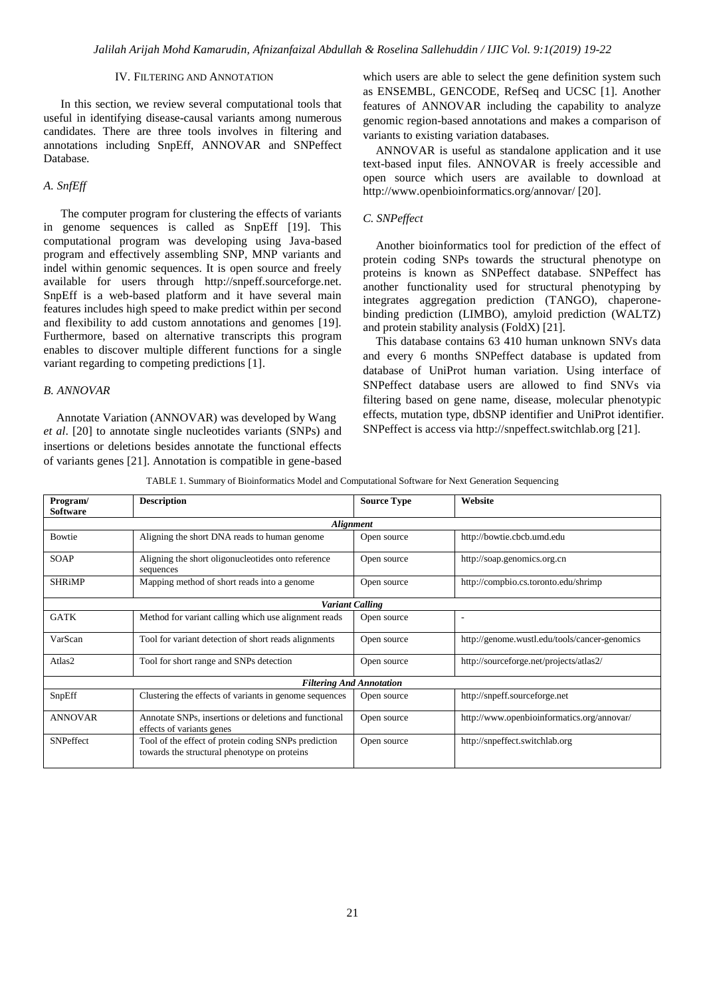## IV. FILTERING AND ANNOTATION

In this section, we review several computational tools that useful in identifying disease-causal variants among numerous candidates. There are three tools involves in filtering and annotations including SnpEff, ANNOVAR and SNPeffect Database.

## *A. SnfEff*

The computer program for clustering the effects of variants in genome sequences is called as SnpEff [19]. This computational program was developing using Java-based program and effectively assembling SNP, MNP variants and indel within genomic sequences. It is open source and freely available for users through http://snpeff.sourceforge.net. SnpEff is a web-based platform and it have several main features includes high speed to make predict within per second and flexibility to add custom annotations and genomes [19]. Furthermore, based on alternative transcripts this program enables to discover multiple different functions for a single variant regarding to competing predictions [1].

#### *B. ANNOVAR*

Annotate Variation (ANNOVAR) was developed by Wang *et al*. [20] to annotate single nucleotides variants (SNPs) and insertions or deletions besides annotate the functional effects of variants genes [21]. Annotation is compatible in gene-based which users are able to select the gene definition system such as ENSEMBL, GENCODE, RefSeq and UCSC [1]. Another features of ANNOVAR including the capability to analyze genomic region-based annotations and makes a comparison of variants to existing variation databases.

ANNOVAR is useful as standalone application and it use text-based input files. ANNOVAR is freely accessible and open source which users are available to download at http://www.openbioinformatics.org/annovar/ [20].

#### *C. SNPeffect*

Another bioinformatics tool for prediction of the effect of protein coding SNPs towards the structural phenotype on proteins is known as SNPeffect database. SNPeffect has another functionality used for structural phenotyping by integrates aggregation prediction (TANGO), chaperonebinding prediction (LIMBO), amyloid prediction (WALTZ) and protein stability analysis (FoldX) [21].

This database contains 63 410 human unknown SNVs data and every 6 months SNPeffect database is updated from database of UniProt human variation. Using interface of SNPeffect database users are allowed to find SNVs via filtering based on gene name, disease, molecular phenotypic effects, mutation type, dbSNP identifier and UniProt identifier. SNPeffect is access via http://snpeffect.switchlab.org [21].

| TABLE 1. Summary of Bioinformatics Model and Computational Software for Next Generation Sequencing |  |
|----------------------------------------------------------------------------------------------------|--|
|                                                                                                    |  |

| Program/                        | <b>Description</b>                                                                                   | <b>Source Type</b> | Website                                       |  |
|---------------------------------|------------------------------------------------------------------------------------------------------|--------------------|-----------------------------------------------|--|
| <b>Software</b>                 |                                                                                                      |                    |                                               |  |
| <b>Alignment</b>                |                                                                                                      |                    |                                               |  |
| <b>Bowtie</b>                   | Aligning the short DNA reads to human genome                                                         | Open source        | http://bowtie.cbcb.umd.edu                    |  |
| <b>SOAP</b>                     | Aligning the short oligonucleotides onto reference<br>sequences                                      | Open source        | http://soap.genomics.org.cn                   |  |
| <b>SHRiMP</b>                   | Mapping method of short reads into a genome                                                          | Open source        | http://compbio.cs.toronto.edu/shrimp          |  |
| <b>Variant Calling</b>          |                                                                                                      |                    |                                               |  |
| <b>GATK</b>                     | Method for variant calling which use alignment reads                                                 | Open source        | ٠                                             |  |
| VarScan                         | Tool for variant detection of short reads alignments                                                 | Open source        | http://genome.wustl.edu/tools/cancer-genomics |  |
| Atlas2                          | Tool for short range and SNPs detection                                                              | Open source        | http://sourceforge.net/projects/atlas2/       |  |
| <b>Filtering And Annotation</b> |                                                                                                      |                    |                                               |  |
| SnpEff                          | Clustering the effects of variants in genome sequences                                               | Open source        | http://snpeff.sourceforge.net                 |  |
| <b>ANNOVAR</b>                  | Annotate SNPs, insertions or deletions and functional<br>effects of variants genes                   | Open source        | http://www.openbioinformatics.org/annovar/    |  |
| SNPeffect                       | Tool of the effect of protein coding SNPs prediction<br>towards the structural phenotype on proteins | Open source        | http://snpeffect.switchlab.org                |  |